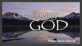# Unchanging

### Pastor Oscar Chavez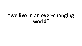# **"we live in an ever-changing world"**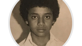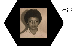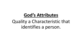# **God's Attributes**

# Quality a Characteristic that identifies a person.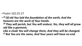- Psalm 102:25-27
- *<sup>25</sup>Of old You laid the foundation of the earth, And the heavens are the work of Your hands.*
	- *<sup>26</sup> They will perish, but You will endure; Yes, they will all grow old like a garment;*
	- *Like a cloak You will change them, And they will be changed. <sup>27</sup> But You are the same, And Your years will have no end.*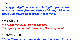•James 1:17

*<sup>17</sup> Every good gift and every perfect gift is from above, and comes down from the Father of lights, with whom there is no variation or shadow of turning.*

• Malachi 3:6

*"For I am the Lord, I do not change; Therefore you are not consumed, O sons of Jacob.*

• Hebrews 13:8

*8 Jesus Christ is the same yesterday, today, and forever.*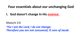**I. God doesn't change In His** *essence***.** 

Malachi 3:6 *"For I am the Lord, I do not change; Therefore you are not consumed, O sons of Jacob.*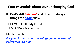- **II. God's still** *Relevant* **and doesn't always do things the** *same* **way.**
- •JEHOVAH JIREH My Provider
- EL SHADDAI My Supplier

Matthew 6:8b.

*For your Father knows the things you have need of before you ask Him.*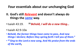- **II. God's still** *Relevant* **and doesn't always do things the** *same* **way.**
- •Isaiah 43:19. **<sup>19</sup>** *Behold, I will do a new thing…*
- Isaiah 42:9-10a
- *Behold, the former things have come to pass, And new things I declare; Before they spring forth I tell you of them."*
- *<sup>10</sup> Sing to the Lord a new song, And His praise from the ends of the earth,*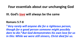**III. God's** *love* **will always be the same**

**Romans 5:7-8** 

*<sup>7</sup> Very rarely will anyone die for a righteous person, though for a good person someone might possibly dare to die.<sup>8</sup> But God demonstrates his own love for us in this: While we were still sinners, Christ died for us.*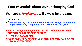#### **IV. God's** *Forgiveness* **will always be the same**

John 8:3; 10-11

- *<sup>3</sup> The teachers of the law and the Pharisees brought in a woman caught in adultery. They made her stand before the group*
- *<sup>10</sup> Jesus straightened up and asked her, "Woman, where are they? Has no one condemned you?"*
- *<sup>11</sup> "No one, sir," she said.*
- *"Then neither do I condemn you," Jesus declared. "Go now and leave your life of sin."*